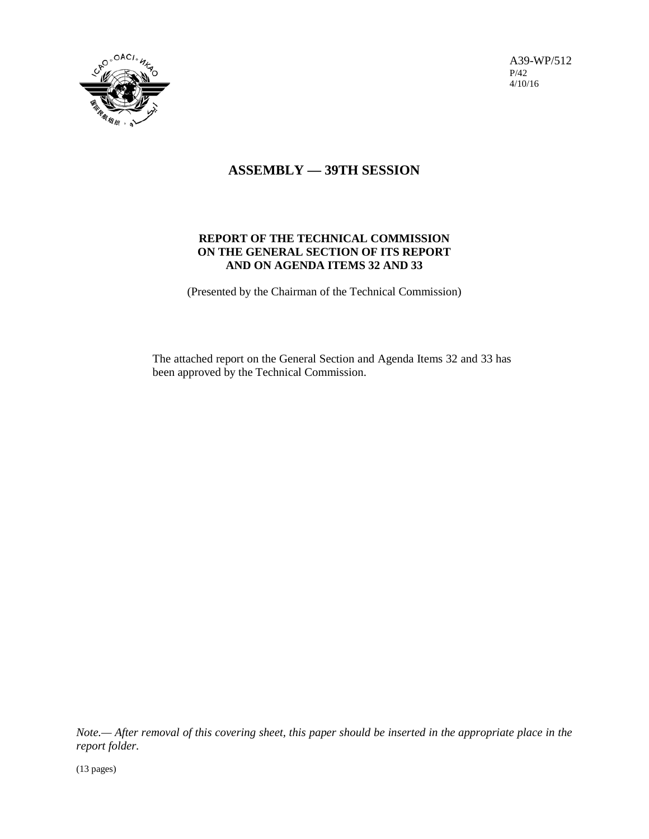

A39-WP/512 P/42 4/10/16

# **ASSEMBLY — 39TH SESSION**

# **REPORT OF THE TECHNICAL COMMISSION ON THE GENERAL SECTION OF ITS REPORT AND ON AGENDA ITEMS 32 AND 33**

(Presented by the Chairman of the Technical Commission)

The attached report on the General Section and Agenda Items 32 and 33 has been approved by the Technical Commission.

*Note.— After removal of this covering sheet, this paper should be inserted in the appropriate place in the report folder.*

(13 pages)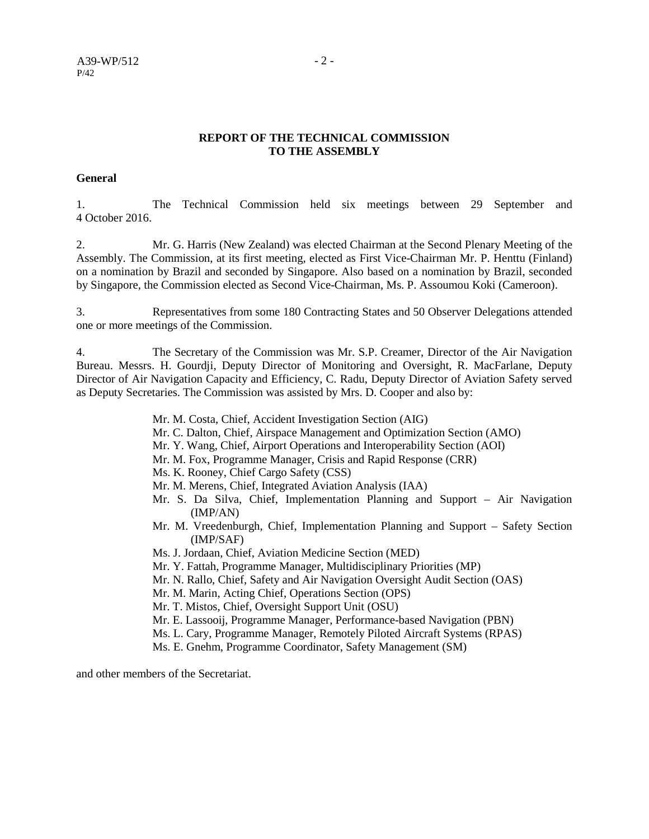#### **REPORT OF THE TECHNICAL COMMISSION TO THE ASSEMBLY**

#### **General**

1. The Technical Commission held six meetings between 29 September and 4 October 2016.

2. Mr. G. Harris (New Zealand) was elected Chairman at the Second Plenary Meeting of the Assembly. The Commission, at its first meeting, elected as First Vice-Chairman Mr. P. Henttu (Finland) on a nomination by Brazil and seconded by Singapore. Also based on a nomination by Brazil, seconded by Singapore, the Commission elected as Second Vice-Chairman, Ms. P. Assoumou Koki (Cameroon).

3. Representatives from some 180 Contracting States and 50 Observer Delegations attended one or more meetings of the Commission.

4. The Secretary of the Commission was Mr. S.P. Creamer, Director of the Air Navigation Bureau. Messrs. H. Gourdji, Deputy Director of Monitoring and Oversight, R. MacFarlane, Deputy Director of Air Navigation Capacity and Efficiency, C. Radu, Deputy Director of Aviation Safety served as Deputy Secretaries. The Commission was assisted by Mrs. D. Cooper and also by:

Mr. M. Costa, Chief, Accident Investigation Section (AIG)

- Mr. C. Dalton, Chief, Airspace Management and Optimization Section (AMO)
- Mr. Y. Wang, Chief, Airport Operations and Interoperability Section (AOI)
- Mr. M. Fox, Programme Manager, Crisis and Rapid Response (CRR)
- Ms. K. Rooney, Chief Cargo Safety (CSS)
- Mr. M. Merens, Chief, Integrated Aviation Analysis (IAA)
- Mr. S. Da Silva, Chief, Implementation Planning and Support Air Navigation (IMP/AN)
- Mr. M. Vreedenburgh, Chief, Implementation Planning and Support Safety Section (IMP/SAF)
- Ms. J. Jordaan, Chief, Aviation Medicine Section (MED)
- Mr. Y. Fattah, Programme Manager, Multidisciplinary Priorities (MP)
- Mr. N. Rallo, Chief, Safety and Air Navigation Oversight Audit Section (OAS)
- Mr. M. Marin, Acting Chief, Operations Section (OPS)
- Mr. T. Mistos, Chief, Oversight Support Unit (OSU)
- Mr. E. Lassooij, Programme Manager, Performance-based Navigation (PBN)
- Ms. L. Cary, Programme Manager, Remotely Piloted Aircraft Systems (RPAS)
- Ms. E. Gnehm, Programme Coordinator, Safety Management (SM)

and other members of the Secretariat.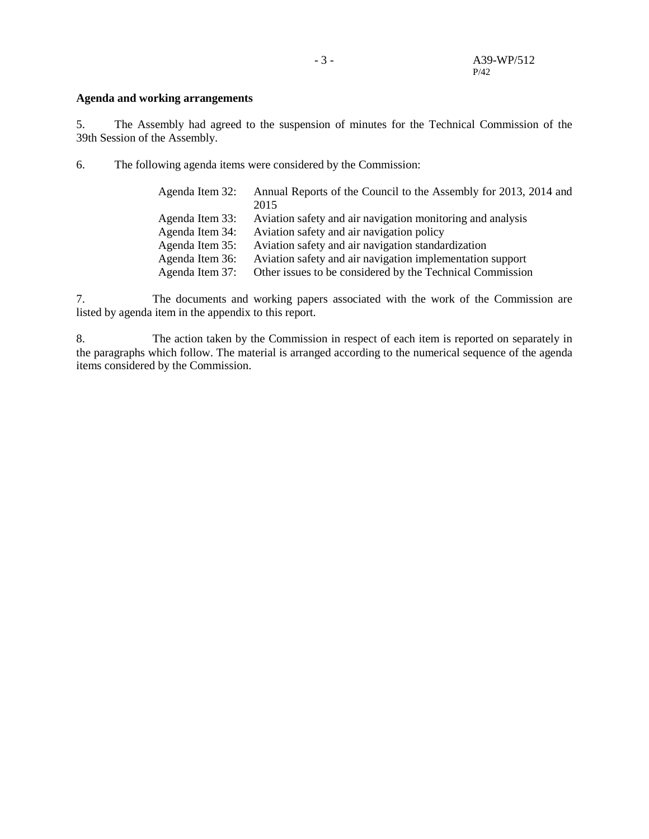#### **Agenda and working arrangements**

5. The Assembly had agreed to the suspension of minutes for the Technical Commission of the 39th Session of the Assembly.

6. The following agenda items were considered by the Commission:

| Agenda Item 32: | Annual Reports of the Council to the Assembly for 2013, 2014 and |
|-----------------|------------------------------------------------------------------|
|                 | 2015                                                             |
| Agenda Item 33: | Aviation safety and air navigation monitoring and analysis       |
| Agenda Item 34: | Aviation safety and air navigation policy                        |
| Agenda Item 35: | Aviation safety and air navigation standardization               |
| Agenda Item 36: | Aviation safety and air navigation implementation support        |
| Agenda Item 37: | Other issues to be considered by the Technical Commission        |

7. The documents and working papers associated with the work of the Commission are listed by agenda item in the appendix to this report.

8. The action taken by the Commission in respect of each item is reported on separately in the paragraphs which follow. The material is arranged according to the numerical sequence of the agenda items considered by the Commission.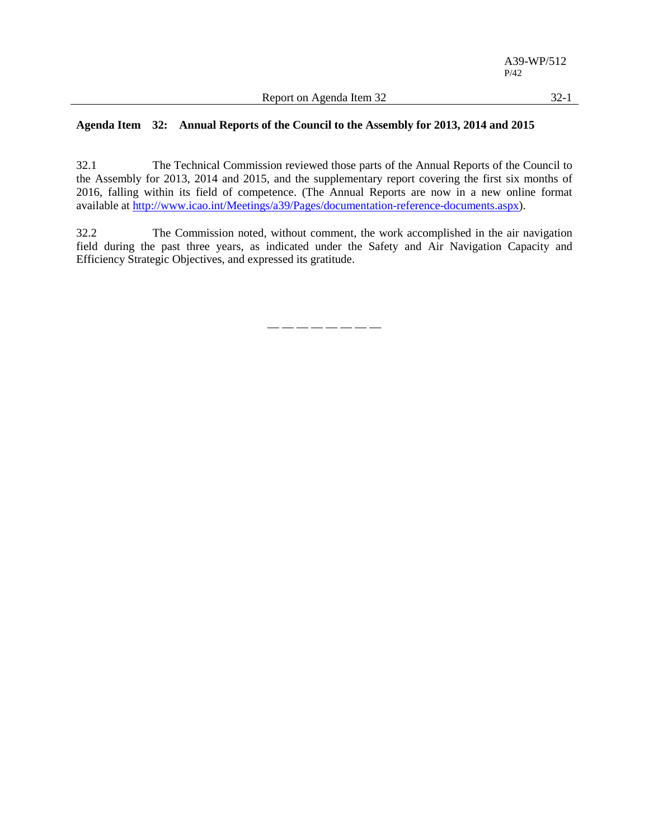32.1 The Technical Commission reviewed those parts of the Annual Reports of the Council to the Assembly for 2013, 2014 and 2015, and the supplementary report covering the first six months of 2016, falling within its field of competence. (The Annual Reports are now in a new online format available at [http://www.icao.int/Meetings/a39/Pages/documentation-reference-documents.aspx\)](http://www.icao.int/Meetings/a39/Pages/documentation-reference-documents.aspx).

32.2 The Commission noted, without comment, the work accomplished in the air navigation field during the past three years, as indicated under the Safety and Air Navigation Capacity and Efficiency Strategic Objectives, and expressed its gratitude.

— — — — — — — —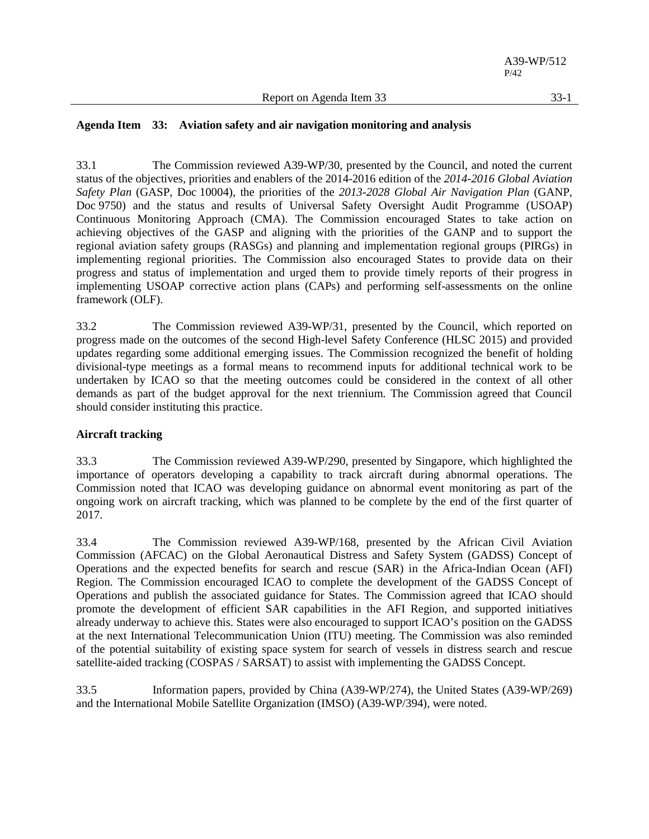# **Agenda Item 33: Aviation safety and air navigation monitoring and analysis**

33.1 The Commission reviewed A39-WP/30, presented by the Council, and noted the current status of the objectives, priorities and enablers of the 2014-2016 edition of the *2014-2016 Global Aviation Safety Plan* (GASP, Doc 10004), the priorities of the *2013-2028 Global Air Navigation Plan* (GANP, Doc 9750) and the status and results of Universal Safety Oversight Audit Programme (USOAP) Continuous Monitoring Approach (CMA). The Commission encouraged States to take action on achieving objectives of the GASP and aligning with the priorities of the GANP and to support the regional aviation safety groups (RASGs) and planning and implementation regional groups (PIRGs) in implementing regional priorities. The Commission also encouraged States to provide data on their progress and status of implementation and urged them to provide timely reports of their progress in implementing USOAP corrective action plans (CAPs) and performing self-assessments on the online framework (OLF).

33.2 The Commission reviewed A39-WP/31, presented by the Council, which reported on progress made on the outcomes of the second High-level Safety Conference (HLSC 2015) and provided updates regarding some additional emerging issues. The Commission recognized the benefit of holding divisional-type meetings as a formal means to recommend inputs for additional technical work to be undertaken by ICAO so that the meeting outcomes could be considered in the context of all other demands as part of the budget approval for the next triennium. The Commission agreed that Council should consider instituting this practice.

# **Aircraft tracking**

33.3 The Commission reviewed A39-WP/290, presented by Singapore, which highlighted the importance of operators developing a capability to track aircraft during abnormal operations. The Commission noted that ICAO was developing guidance on abnormal event monitoring as part of the ongoing work on aircraft tracking, which was planned to be complete by the end of the first quarter of 2017.

33.4 The Commission reviewed A39-WP/168, presented by the African Civil Aviation Commission (AFCAC) on the Global Aeronautical Distress and Safety System (GADSS) Concept of Operations and the expected benefits for search and rescue (SAR) in the Africa-Indian Ocean (AFI) Region. The Commission encouraged ICAO to complete the development of the GADSS Concept of Operations and publish the associated guidance for States. The Commission agreed that ICAO should promote the development of efficient SAR capabilities in the AFI Region, and supported initiatives already underway to achieve this. States were also encouraged to support ICAO's position on the GADSS at the next International Telecommunication Union (ITU) meeting. The Commission was also reminded of the potential suitability of existing space system for search of vessels in distress search and rescue satellite-aided tracking (COSPAS / SARSAT) to assist with implementing the GADSS Concept.

33.5 Information papers, provided by China (A39-WP/274), the United States (A39-WP/269) and the International Mobile Satellite Organization (IMSO) (A39-WP/394), were noted.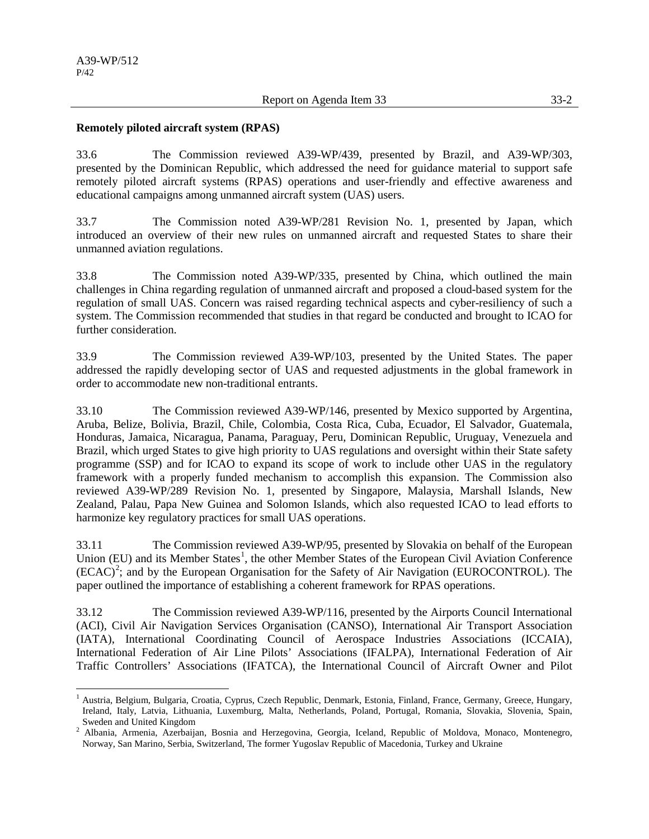#### **Remotely piloted aircraft system (RPAS)**

33.6 The Commission reviewed A39-WP/439, presented by Brazil, and A39-WP/303, presented by the Dominican Republic, which addressed the need for guidance material to support safe remotely piloted aircraft systems (RPAS) operations and user-friendly and effective awareness and educational campaigns among unmanned aircraft system (UAS) users.

33.7 The Commission noted A39-WP/281 Revision No. 1, presented by Japan, which introduced an overview of their new rules on unmanned aircraft and requested States to share their unmanned aviation regulations.

33.8 The Commission noted A39-WP/335, presented by China, which outlined the main challenges in China regarding regulation of unmanned aircraft and proposed a cloud-based system for the regulation of small UAS. Concern was raised regarding technical aspects and cyber-resiliency of such a system. The Commission recommended that studies in that regard be conducted and brought to ICAO for further consideration.

33.9 The Commission reviewed A39-WP/103, presented by the United States. The paper addressed the rapidly developing sector of UAS and requested adjustments in the global framework in order to accommodate new non-traditional entrants.

33.10 The Commission reviewed A39-WP/146, presented by Mexico supported by Argentina, Aruba, Belize, Bolivia, Brazil, Chile, Colombia, Costa Rica, Cuba, Ecuador, El Salvador, Guatemala, Honduras, Jamaica, Nicaragua, Panama, Paraguay, Peru, Dominican Republic, Uruguay, Venezuela and Brazil, which urged States to give high priority to UAS regulations and oversight within their State safety programme (SSP) and for ICAO to expand its scope of work to include other UAS in the regulatory framework with a properly funded mechanism to accomplish this expansion. The Commission also reviewed A39-WP/289 Revision No. 1, presented by Singapore, Malaysia, Marshall Islands, New Zealand, Palau, Papa New Guinea and Solomon Islands, which also requested ICAO to lead efforts to harmonize key regulatory practices for small UAS operations.

33.11 The Commission reviewed A39-WP/95, presented by Slovakia on behalf of the European Union (EU) and its Member States<sup>[1](#page-5-0)</sup>, the other Member States of the European Civil Aviation Conference  $(ECAC)^2$  $(ECAC)^2$ ; and by the European Organisation for the Safety of Air Navigation (EUROCONTROL). The paper outlined the importance of establishing a coherent framework for RPAS operations.

33.12 The Commission reviewed A39-WP/116, presented by the Airports Council International (ACI), Civil Air Navigation Services Organisation (CANSO), International Air Transport Association (IATA), International Coordinating Council of Aerospace Industries Associations (ICCAIA), International Federation of Air Line Pilots' Associations (IFALPA), International Federation of Air Traffic Controllers' Associations (IFATCA), the International Council of Aircraft Owner and Pilot

<span id="page-5-0"></span><sup>&</sup>lt;sup>1</sup> Austria, Belgium, Bulgaria, Croatia, Cyprus, Czech Republic, Denmark, Estonia, Finland, France, Germany, Greece, Hungary, Ireland, Italy, Latvia, Lithuania, Luxemburg, Malta, Netherlands, Poland, Portugal, Romania, Slovakia, Slovenia, Spain, Sweden and United Kingdom

<span id="page-5-1"></span><sup>&</sup>lt;sup>2</sup> Albania, Armenia, Azerbaijan, Bosnia and Herzegovina, Georgia, Iceland, Republic of Moldova, Monaco, Montenegro, Norway, San Marino, Serbia, Switzerland, The former Yugoslav Republic of Macedonia, Turkey and Ukraine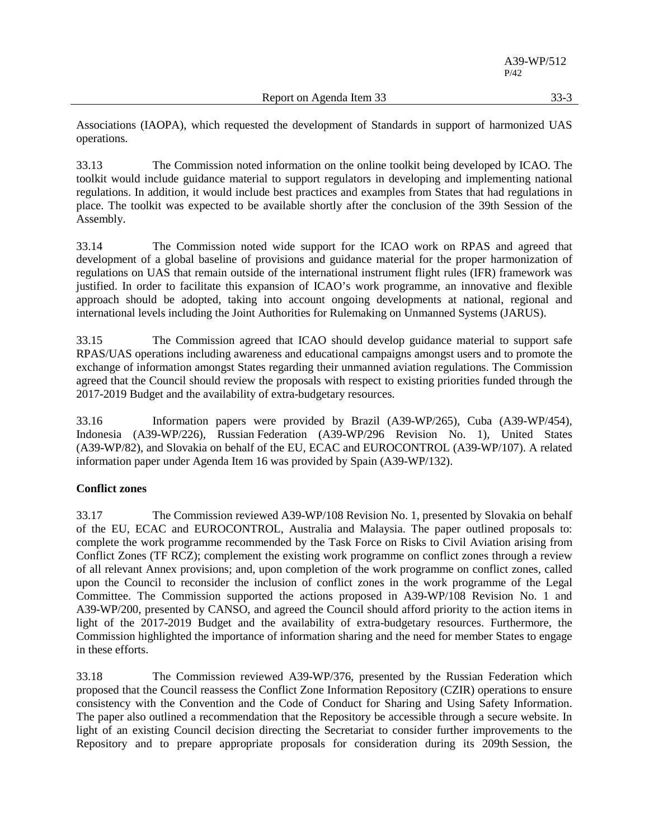Associations (IAOPA), which requested the development of Standards in support of harmonized UAS operations.

33.13 The Commission noted information on the online toolkit being developed by ICAO. The toolkit would include guidance material to support regulators in developing and implementing national regulations. In addition, it would include best practices and examples from States that had regulations in place. The toolkit was expected to be available shortly after the conclusion of the 39th Session of the Assembly.

33.14 The Commission noted wide support for the ICAO work on RPAS and agreed that development of a global baseline of provisions and guidance material for the proper harmonization of regulations on UAS that remain outside of the international instrument flight rules (IFR) framework was justified. In order to facilitate this expansion of ICAO's work programme, an innovative and flexible approach should be adopted, taking into account ongoing developments at national, regional and international levels including the Joint Authorities for Rulemaking on Unmanned Systems (JARUS).

33.15 The Commission agreed that ICAO should develop guidance material to support safe RPAS/UAS operations including awareness and educational campaigns amongst users and to promote the exchange of information amongst States regarding their unmanned aviation regulations. The Commission agreed that the Council should review the proposals with respect to existing priorities funded through the 2017-2019 Budget and the availability of extra-budgetary resources.

33.16 Information papers were provided by Brazil (A39-WP/265), Cuba (A39-WP/454), Indonesia (A39-WP/226), Russian Federation (A39-WP/296 Revision No. 1), United States (A39-WP/82), and Slovakia on behalf of the EU, ECAC and EUROCONTROL (A39-WP/107). A related information paper under Agenda Item 16 was provided by Spain (A39-WP/132).

# **Conflict zones**

33.17 The Commission reviewed A39-WP/108 Revision No. 1, presented by Slovakia on behalf of the EU, ECAC and EUROCONTROL, Australia and Malaysia. The paper outlined proposals to: complete the work programme recommended by the Task Force on Risks to Civil Aviation arising from Conflict Zones (TF RCZ); complement the existing work programme on conflict zones through a review of all relevant Annex provisions; and, upon completion of the work programme on conflict zones, called upon the Council to reconsider the inclusion of conflict zones in the work programme of the Legal Committee. The Commission supported the actions proposed in A39-WP/108 Revision No. 1 and A39-WP/200, presented by CANSO, and agreed the Council should afford priority to the action items in light of the 2017-2019 Budget and the availability of extra-budgetary resources. Furthermore, the Commission highlighted the importance of information sharing and the need for member States to engage in these efforts.

33.18 The Commission reviewed A39-WP/376, presented by the Russian Federation which proposed that the Council reassess the Conflict Zone Information Repository (CZIR) operations to ensure consistency with the Convention and the Code of Conduct for Sharing and Using Safety Information. The paper also outlined a recommendation that the Repository be accessible through a secure website. In light of an existing Council decision directing the Secretariat to consider further improvements to the Repository and to prepare appropriate proposals for consideration during its 209th Session, the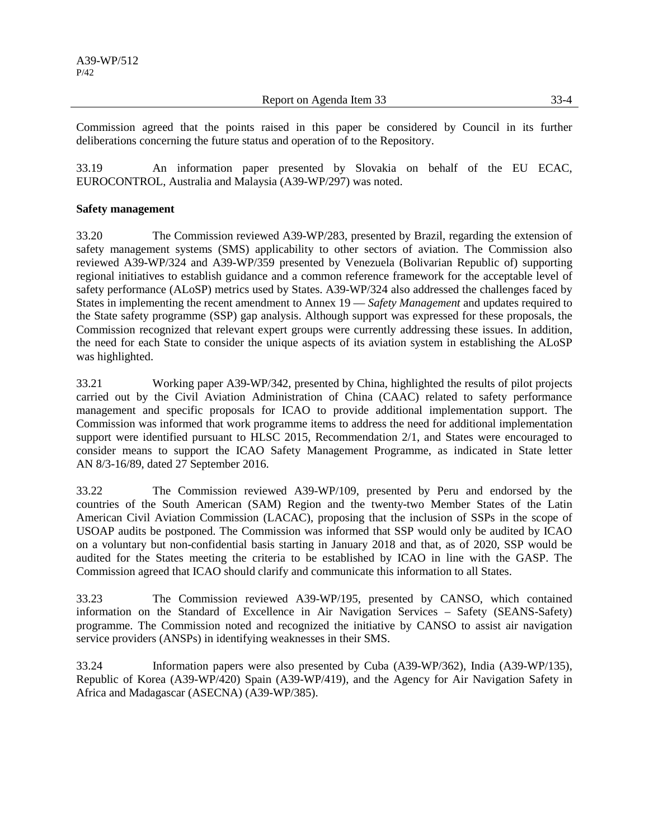Report on Agenda Item 33 33-4

Commission agreed that the points raised in this paper be considered by Council in its further deliberations concerning the future status and operation of to the Repository.

33.19 An information paper presented by Slovakia on behalf of the EU ECAC, EUROCONTROL, Australia and Malaysia (A39-WP/297) was noted.

# **Safety management**

33.20 The Commission reviewed A39-WP/283, presented by Brazil, regarding the extension of safety management systems (SMS) applicability to other sectors of aviation. The Commission also reviewed A39-WP/324 and A39-WP/359 presented by Venezuela (Bolivarian Republic of) supporting regional initiatives to establish guidance and a common reference framework for the acceptable level of safety performance (ALoSP) metrics used by States. A39-WP/324 also addressed the challenges faced by States in implementing the recent amendment to Annex 19 — *Safety Management* and updates required to the State safety programme (SSP) gap analysis. Although support was expressed for these proposals, the Commission recognized that relevant expert groups were currently addressing these issues. In addition, the need for each State to consider the unique aspects of its aviation system in establishing the ALoSP was highlighted.

33.21 Working paper A39-WP/342, presented by China, highlighted the results of pilot projects carried out by the Civil Aviation Administration of China (CAAC) related to safety performance management and specific proposals for ICAO to provide additional implementation support. The Commission was informed that work programme items to address the need for additional implementation support were identified pursuant to HLSC 2015, Recommendation 2/1, and States were encouraged to consider means to support the ICAO Safety Management Programme, as indicated in State letter AN 8/3-16/89, dated 27 September 2016.

33.22 The Commission reviewed A39-WP/109, presented by Peru and endorsed by the countries of the South American (SAM) Region and the twenty-two Member States of the Latin American Civil Aviation Commission (LACAC), proposing that the inclusion of SSPs in the scope of USOAP audits be postponed. The Commission was informed that SSP would only be audited by ICAO on a voluntary but non-confidential basis starting in January 2018 and that, as of 2020, SSP would be audited for the States meeting the criteria to be established by ICAO in line with the GASP. The Commission agreed that ICAO should clarify and communicate this information to all States.

33.23 The Commission reviewed A39-WP/195, presented by CANSO, which contained information on the Standard of Excellence in Air Navigation Services – Safety (SEANS-Safety) programme. The Commission noted and recognized the initiative by CANSO to assist air navigation service providers (ANSPs) in identifying weaknesses in their SMS.

33.24 Information papers were also presented by Cuba (A39-WP/362), India (A39-WP/135), Republic of Korea (A39-WP/420) Spain (A39-WP/419), and the Agency for Air Navigation Safety in Africa and Madagascar (ASECNA) (A39-WP/385).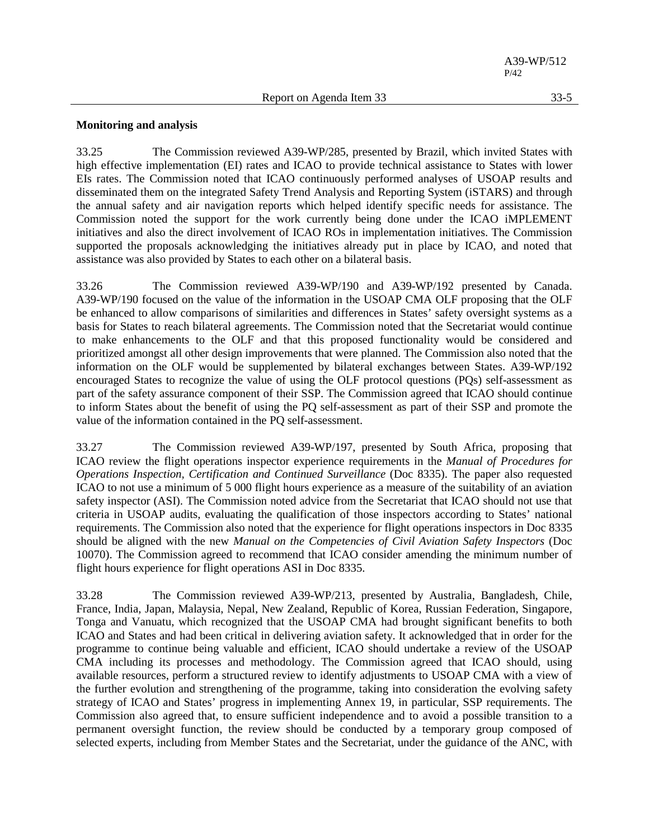#### **Monitoring and analysis**

33.25 The Commission reviewed A39-WP/285, presented by Brazil, which invited States with high effective implementation (EI) rates and ICAO to provide technical assistance to States with lower EIs rates. The Commission noted that ICAO continuously performed analyses of USOAP results and disseminated them on the integrated Safety Trend Analysis and Reporting System (iSTARS) and through the annual safety and air navigation reports which helped identify specific needs for assistance. The Commission noted the support for the work currently being done under the ICAO iMPLEMENT initiatives and also the direct involvement of ICAO ROs in implementation initiatives. The Commission supported the proposals acknowledging the initiatives already put in place by ICAO, and noted that assistance was also provided by States to each other on a bilateral basis.

33.26 The Commission reviewed A39-WP/190 and A39-WP/192 presented by Canada. A39-WP/190 focused on the value of the information in the USOAP CMA OLF proposing that the OLF be enhanced to allow comparisons of similarities and differences in States' safety oversight systems as a basis for States to reach bilateral agreements. The Commission noted that the Secretariat would continue to make enhancements to the OLF and that this proposed functionality would be considered and prioritized amongst all other design improvements that were planned. The Commission also noted that the information on the OLF would be supplemented by bilateral exchanges between States. A39-WP/192 encouraged States to recognize the value of using the OLF protocol questions (PQs) self-assessment as part of the safety assurance component of their SSP. The Commission agreed that ICAO should continue to inform States about the benefit of using the PQ self-assessment as part of their SSP and promote the value of the information contained in the PQ self-assessment.

33.27 The Commission reviewed A39-WP/197, presented by South Africa, proposing that ICAO review the flight operations inspector experience requirements in the *Manual of Procedures for Operations Inspection, Certification and Continued Surveillance* (Doc 8335). The paper also requested ICAO to not use a minimum of 5 000 flight hours experience as a measure of the suitability of an aviation safety inspector (ASI). The Commission noted advice from the Secretariat that ICAO should not use that criteria in USOAP audits, evaluating the qualification of those inspectors according to States' national requirements. The Commission also noted that the experience for flight operations inspectors in Doc 8335 should be aligned with the new *Manual on the Competencies of Civil Aviation Safety Inspectors* (Doc 10070). The Commission agreed to recommend that ICAO consider amending the minimum number of flight hours experience for flight operations ASI in Doc 8335.

33.28 The Commission reviewed A39-WP/213, presented by Australia, Bangladesh, Chile, France, India, Japan, Malaysia, Nepal, New Zealand, Republic of Korea, Russian Federation, Singapore, Tonga and Vanuatu, which recognized that the USOAP CMA had brought significant benefits to both ICAO and States and had been critical in delivering aviation safety. It acknowledged that in order for the programme to continue being valuable and efficient, ICAO should undertake a review of the USOAP CMA including its processes and methodology. The Commission agreed that ICAO should, using available resources, perform a structured review to identify adjustments to USOAP CMA with a view of the further evolution and strengthening of the programme, taking into consideration the evolving safety strategy of ICAO and States' progress in implementing Annex 19, in particular, SSP requirements. The Commission also agreed that, to ensure sufficient independence and to avoid a possible transition to a permanent oversight function, the review should be conducted by a temporary group composed of selected experts, including from Member States and the Secretariat, under the guidance of the ANC, with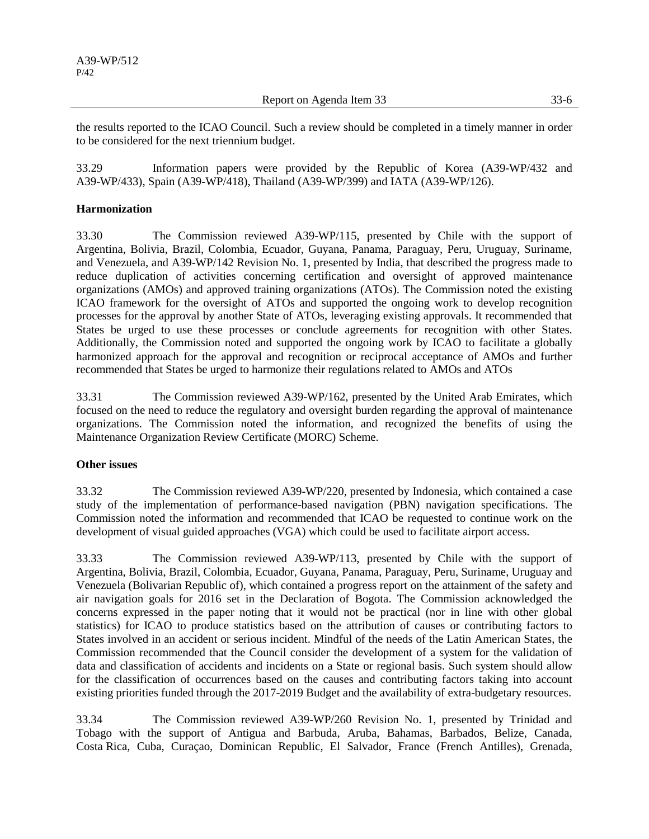Report on Agenda Item 33 33-6

the results reported to the ICAO Council. Such a review should be completed in a timely manner in order to be considered for the next triennium budget.

33.29 Information papers were provided by the Republic of Korea (A39-WP/432 and A39-WP/433), Spain (A39-WP/418), Thailand (A39-WP/399) and IATA (A39-WP/126).

# **Harmonization**

33.30 The Commission reviewed A39-WP/115, presented by Chile with the support of Argentina, Bolivia, Brazil, Colombia, Ecuador, Guyana, Panama, Paraguay, Peru, Uruguay, Suriname, and Venezuela, and A39-WP/142 Revision No. 1, presented by India, that described the progress made to reduce duplication of activities concerning certification and oversight of approved maintenance organizations (AMOs) and approved training organizations (ATOs). The Commission noted the existing ICAO framework for the oversight of ATOs and supported the ongoing work to develop recognition processes for the approval by another State of ATOs, leveraging existing approvals. It recommended that States be urged to use these processes or conclude agreements for recognition with other States. Additionally, the Commission noted and supported the ongoing work by ICAO to facilitate a globally harmonized approach for the approval and recognition or reciprocal acceptance of AMOs and further recommended that States be urged to harmonize their regulations related to AMOs and ATOs

33.31 The Commission reviewed A39-WP/162, presented by the United Arab Emirates, which focused on the need to reduce the regulatory and oversight burden regarding the approval of maintenance organizations. The Commission noted the information, and recognized the benefits of using the Maintenance Organization Review Certificate (MORC) Scheme.

# **Other issues**

33.32 The Commission reviewed A39-WP/220, presented by Indonesia, which contained a case study of the implementation of performance-based navigation (PBN) navigation specifications. The Commission noted the information and recommended that ICAO be requested to continue work on the development of visual guided approaches (VGA) which could be used to facilitate airport access.

33.33 The Commission reviewed A39-WP/113, presented by Chile with the support of Argentina, Bolivia, Brazil, Colombia, Ecuador, Guyana, Panama, Paraguay, Peru, Suriname, Uruguay and Venezuela (Bolivarian Republic of), which contained a progress report on the attainment of the safety and air navigation goals for 2016 set in the Declaration of Bogota. The Commission acknowledged the concerns expressed in the paper noting that it would not be practical (nor in line with other global statistics) for ICAO to produce statistics based on the attribution of causes or contributing factors to States involved in an accident or serious incident. Mindful of the needs of the Latin American States, the Commission recommended that the Council consider the development of a system for the validation of data and classification of accidents and incidents on a State or regional basis. Such system should allow for the classification of occurrences based on the causes and contributing factors taking into account existing priorities funded through the 2017-2019 Budget and the availability of extra-budgetary resources.

33.34 The Commission reviewed A39-WP/260 Revision No. 1, presented by Trinidad and Tobago with the support of Antigua and Barbuda, Aruba, Bahamas, Barbados, Belize, Canada, Costa Rica, Cuba, Curaçao, Dominican Republic, El Salvador, France (French Antilles), Grenada,